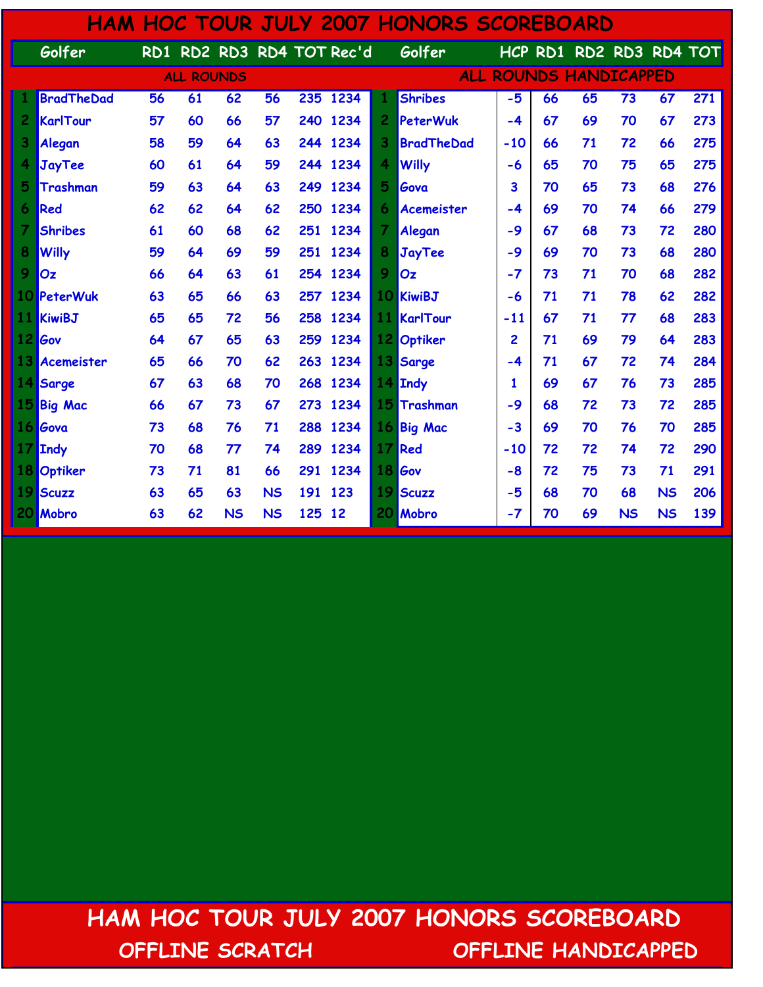|                     |                   |    |                   |           |           |         |                           |                | <b>HAM HOC TOUR JULY 2007 HONORS SCOREBOARD</b> |       |    |                               |           |           |     |
|---------------------|-------------------|----|-------------------|-----------|-----------|---------|---------------------------|----------------|-------------------------------------------------|-------|----|-------------------------------|-----------|-----------|-----|
|                     | Golfer            |    |                   |           |           |         | RD1 RD2 RD3 RD4 TOT Rec'd |                | Golfer                                          |       |    | HCP RD1 RD2 RD3 RD4 TOT       |           |           |     |
|                     |                   |    | <b>ALL ROUNDS</b> |           |           |         |                           |                |                                                 |       |    | <b>ALL ROUNDS HANDICAPPED</b> |           |           |     |
|                     | <b>BradTheDad</b> | 56 | 61                | 62        | 56        |         | 235 1234                  |                | <b>Shribes</b>                                  | $-5$  | 66 | 65                            | 73        | 67        | 271 |
| $\overline{2}$      | <b>KarlTour</b>   | 57 | 60                | 66        | 57        |         | 240 1234                  | $\overline{c}$ | PeterWuk                                        | $-4$  | 67 | 69                            | 70        | 67        | 273 |
| 3                   | Alegan            | 58 | 59                | 64        | 63        | 244     | 1234                      | 3              | <b>BradTheDad</b>                               | $-10$ | 66 | 71                            | 72        | 66        | 275 |
|                     | <b>JayTee</b>     | 60 | 61                | 64        | 59        | 244     | 1234                      | 4              | <b>Willy</b>                                    | -6    | 65 | 70                            | 75        | 65        | 275 |
| 5                   | Trashman          | 59 | 63                | 64        | 63        | 249     | 1234                      | 5              | Gova                                            | 3     | 70 | 65                            | 73        | 68        | 276 |
| $\ddot{\mathbf{6}}$ | Red               | 62 | 62                | 64        | 62        | 250     | 1234                      | 6              | Acemeister                                      | $-4$  | 69 | 70                            | 74        | 66        | 279 |
| 7                   | <b>Shribes</b>    | 61 | 60                | 68        | 62        | 251     | 1234                      | 7              | Alegan                                          | -9    | 67 | 68                            | 73        | 72        | 280 |
| 8                   | <b>Willy</b>      | 59 | 64                | 69        | 59        | 251     | 1234                      | 8              | JayTee                                          | $-9$  | 69 | 70                            | 73        | 68        | 280 |
| 9                   | Oz                | 66 | 64                | 63        | 61        |         | 254 1234                  | 9              | Oz                                              | $-7$  | 73 | 71                            | 70        | 68        | 282 |
|                     | 10 PeterWuk       | 63 | 65                | 66        | 63        |         | 257 1234                  | 10             | KiwiBJ                                          | $-6$  | 71 | 71                            | 78        | 62        | 282 |
| 11                  | <b>KiwiBJ</b>     | 65 | 65                | 72        | 56        | 258     | 1234                      | 11             | KarlTour                                        | $-11$ | 67 | 71                            | 77        | 68        | 283 |
| <u> 12  </u>        | Gov               | 64 | 67                | 65        | 63        | 259     | 1234                      | 12             | Optiker                                         | 2     | 71 | 69                            | 79        | 64        | 283 |
| 13                  | Acemeister        | 65 | 66                | 70        | 62        | 263     | 1234                      | 13             | Sarge                                           | -4    | 71 | 67                            | 72        | 74        | 284 |
| 14                  | Sarge             | 67 | 63                | 68        | 70        | 268     | 1234                      |                | 14 Indy                                         | 1     | 69 | 67                            | 76        | 73        | 285 |
| 15                  | <b>Big Mac</b>    | 66 | 67                | 73        | 67        | 273     | 1234                      | 15             | Trashman                                        | $-9$  | 68 | 72                            | 73        | 72        | 285 |
|                     | 16 Gova           | 73 | 68                | 76        | 71        | 288     | 1234                      |                | 16 Big Mac                                      | $-3$  | 69 | 70                            | 76        | 70        | 285 |
| 17                  | <b>Indy</b>       | 70 | 68                | 77        | 74        | 289     | 1234                      | 17             | Red                                             | $-10$ | 72 | 72                            | 74        | 72        | 290 |
|                     | 18 Optiker        | 73 | 71                | 81        | 66        |         | 291 1234                  | 18             | <b>Gov</b>                                      | -8    | 72 | 75                            | 73        | 71        | 291 |
| 19.                 | <b>Scuzz</b>      | 63 | 65                | 63        | <b>NS</b> | 191 123 |                           | 19             | <b>Scuzz</b>                                    | $-5$  | 68 | 70                            | 68        | <b>NS</b> | 206 |
| 20                  | <b>Mobro</b>      | 63 | 62                | <b>NS</b> | <b>NS</b> | 125     | 12                        | 20             | Mobro                                           | $-7$  | 70 | 69                            | <b>NS</b> | <b>NS</b> | 139 |

 HAM HOC TOUR JULY 2007 HONORS SCOREBOARD OFFLINE SCRATCH OFFLINE HANDICAPPED